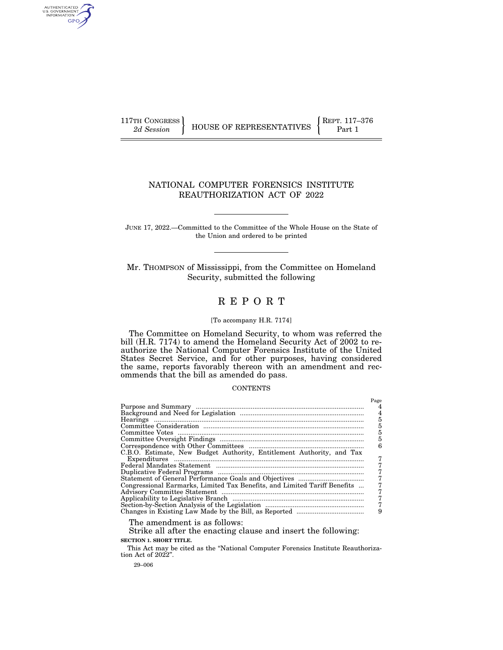AUTHENTICATED<br>U.S. GOVERNMENT<br>INFORMATION GPO

117TH CONGRESS **REPRESENTATIVES**  $\left\{\n\begin{array}{c}\n\text{RePT. 117–376}\n\text{Part 1}\n\end{array}\n\right\}$ 

## NATIONAL COMPUTER FORENSICS INSTITUTE REAUTHORIZATION ACT OF 2022

JUNE 17, 2022.—Committed to the Committee of the Whole House on the State of the Union and ordered to be printed

Mr. THOMPSON of Mississippi, from the Committee on Homeland Security, submitted the following

## R E P O R T

#### [To accompany H.R. 7174]

The Committee on Homeland Security, to whom was referred the bill (H.R. 7174) to amend the Homeland Security Act of 2002 to reauthorize the National Computer Forensics Institute of the United States Secret Service, and for other purposes, having considered the same, reports favorably thereon with an amendment and recommends that the bill as amended do pass.

## **CONTENTS**

|                                                                                                                                                                                                                                                                                                                                                                                                                                                                                                                      | Page |
|----------------------------------------------------------------------------------------------------------------------------------------------------------------------------------------------------------------------------------------------------------------------------------------------------------------------------------------------------------------------------------------------------------------------------------------------------------------------------------------------------------------------|------|
|                                                                                                                                                                                                                                                                                                                                                                                                                                                                                                                      |      |
|                                                                                                                                                                                                                                                                                                                                                                                                                                                                                                                      |      |
|                                                                                                                                                                                                                                                                                                                                                                                                                                                                                                                      | 5    |
|                                                                                                                                                                                                                                                                                                                                                                                                                                                                                                                      | 5    |
|                                                                                                                                                                                                                                                                                                                                                                                                                                                                                                                      | 5    |
|                                                                                                                                                                                                                                                                                                                                                                                                                                                                                                                      | 5    |
|                                                                                                                                                                                                                                                                                                                                                                                                                                                                                                                      |      |
| C.B.O. Estimate, New Budget Authority, Entitlement Authority, and Tax                                                                                                                                                                                                                                                                                                                                                                                                                                                |      |
|                                                                                                                                                                                                                                                                                                                                                                                                                                                                                                                      |      |
| ${\bf \textbf{Expenditures}} \quad \  \  \, \ldots \textcolor{red}{\textbf{}} \textcolor{red}{\textbf{}} \textcolor{red}{\textbf{}} \textcolor{red}{\textbf{}} \textcolor{red}{\textbf{}} \textcolor{red}{\textbf{}} \textcolor{red}{\textbf{}} \textcolor{red}{\textbf{}} \textcolor{red}{\textbf{}} \textcolor{red}{\textbf{}} \textcolor{red}{\textbf{}} \textcolor{red}{\textbf{}} \textcolor{red}{\textbf{}} \textcolor{red}{\textbf{}} \textcolor{red}{\textbf{}} \textcolor{red}{\textbf{}} \textcolor{red}{$ |      |
|                                                                                                                                                                                                                                                                                                                                                                                                                                                                                                                      |      |
|                                                                                                                                                                                                                                                                                                                                                                                                                                                                                                                      |      |
| Congressional Earmarks, Limited Tax Benefits, and Limited Tariff Benefits                                                                                                                                                                                                                                                                                                                                                                                                                                            |      |
|                                                                                                                                                                                                                                                                                                                                                                                                                                                                                                                      |      |
|                                                                                                                                                                                                                                                                                                                                                                                                                                                                                                                      |      |
|                                                                                                                                                                                                                                                                                                                                                                                                                                                                                                                      |      |
|                                                                                                                                                                                                                                                                                                                                                                                                                                                                                                                      |      |
| and the contract of the contract of the contract of the contract of the contract of the contract of the contract of the contract of the contract of the contract of the contract of the contract of the contract of the contra                                                                                                                                                                                                                                                                                       |      |

The amendment is as follows:

Strike all after the enacting clause and insert the following: **SECTION 1. SHORT TITLE.** 

This Act may be cited as the "National Computer Forensics Institute Reauthorization Act of 2022''.

29–006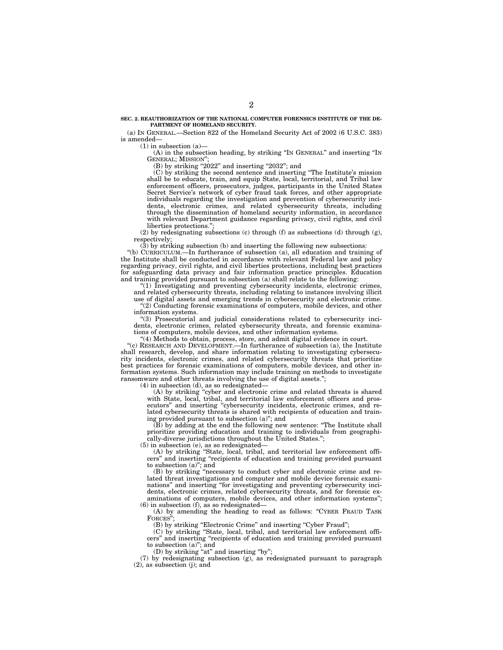#### **SEC. 2. REAUTHORIZATION OF THE NATIONAL COMPUTER FORENSICS INSTITUTE OF THE DE-PARTMENT OF HOMELAND SECURITY.**

(a) IN GENERAL.—Section 822 of the Homeland Security Act of 2002 (6 U.S.C. 383) is amended—

 $(1)$  in subsection  $(a)$ —

(A) in the subsection heading, by striking ''IN GENERAL'' and inserting ''IN GENERAL; MISSION'';

 $(B)$  by striking "2022" and inserting "2032"; and

(C) by striking the second sentence and inserting ''The Institute's mission shall be to educate, train, and equip State, local, territorial, and Tribal law enforcement officers, prosecutors, judges, participants in the United States Secret Service's network of cyber fraud task forces, and other appropriate individuals regarding the investigation and prevention of cybersecurity incidents, electronic crimes, and related cybersecurity threats, including through the dissemination of homeland security information, in accordance with relevant Department guidance regarding privacy, civil rights, and civil liberties protections.'';

(2) by redesignating subsections (c) through (f) as subsections (d) through (g), respectively;

(3) by striking subsection (b) and inserting the following new subsections:

''(b) CURRICULUM.—In furtherance of subsection (a), all education and training of the Institute shall be conducted in accordance with relevant Federal law and policy regarding privacy, civil rights, and civil liberties protections, including best practices for safeguarding data privacy and fair information practice principles. Education and training provided pursuant to subsection (a) shall relate to the following:

''(1) Investigating and preventing cybersecurity incidents, electronic crimes,

and related cybersecurity threats, including relating to instances involving illicit use of digital assets and emerging trends in cybersecurity and electronic crime.

''(2) Conducting forensic examinations of computers, mobile devices, and other information systems.

''(3) Prosecutorial and judicial considerations related to cybersecurity incidents, electronic crimes, related cybersecurity threats, and forensic examinations of computers, mobile devices, and other information systems.

''(4) Methods to obtain, process, store, and admit digital evidence in court.

"(c) RESEARCH AND DEVELOPMENT.—In furtherance of subsection (a), the Institute shall research, develop, and share information relating to investigating cybersecurity incidents, electronic crimes, and related cybersecurity threats that prioritize best practices for forensic examinations of computers, mobile devices, and other information systems. Such information may include training on methods to investigate ransomware and other threats involving the use of digital assets.'';

(4) in subsection (d), as so redesignated—

(A) by striking ''cyber and electronic crime and related threats is shared with State, local, tribal, and territorial law enforcement officers and prosecutors'' and inserting ''cybersecurity incidents, electronic crimes, and related cybersecurity threats is shared with recipients of education and training provided pursuant to subsection (a)''; and

(B) by adding at the end the following new sentence: ''The Institute shall prioritize providing education and training to individuals from geographically-diverse jurisdictions throughout the United States.'';

(5) in subsection (e), as so redesignated—

(A) by striking ''State, local, tribal, and territorial law enforcement officers'' and inserting ''recipients of education and training provided pursuant to subsection (a)''; and

(B) by striking ''necessary to conduct cyber and electronic crime and related threat investigations and computer and mobile device forensic examinations'' and inserting ''for investigating and preventing cybersecurity incidents, electronic crimes, related cybersecurity threats, and for forensic examinations of computers, mobile devices, and other information systems'';  $(6)$  in subsection  $(f)$ , as so redesignated—

(A) by amending the heading to read as follows: ''CYBER FRAUD TASK FORCES'';

(B) by striking "Electronic Crime" and inserting "Cyber Fraud";

(C) by striking ''State, local, tribal, and territorial law enforcement officers'' and inserting ''recipients of education and training provided pursuant to subsection (a)''; and

(D) by striking "at" and inserting "by";

(7) by redesignating subsection (g), as redesignated pursuant to paragraph (2), as subsection (j); and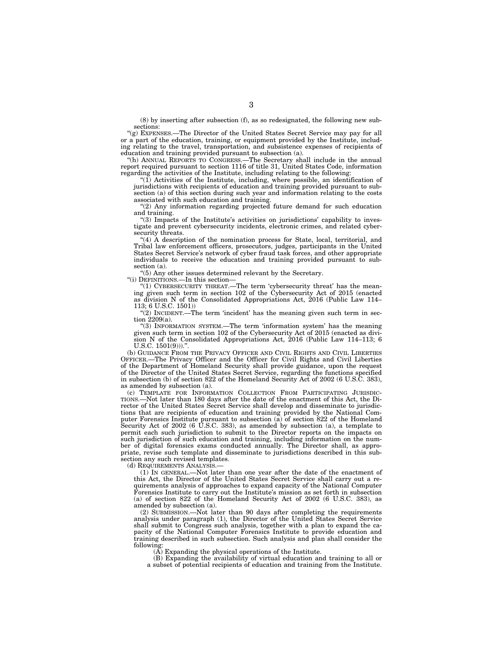(8) by inserting after subsection (f), as so redesignated, the following new subsections:

"(g) EXPENSES.—The Director of the United States Secret Service may pay for all or a part of the education, training, or equipment provided by the Institute, including relating to the travel, transportation, and subsistence expenses of recipients of education and training provided pursuant to subsection (a).

''(h) ANNUAL REPORTS TO CONGRESS.—The Secretary shall include in the annual report required pursuant to section 1116 of title 31, United States Code, information regarding the activities of the Institute, including relating to the following:

''(1) Activities of the Institute, including, where possible, an identification of jurisdictions with recipients of education and training provided pursuant to subsection (a) of this section during such year and information relating to the costs associated with such education and training.

''(2) Any information regarding projected future demand for such education and training.

''(3) Impacts of the Institute's activities on jurisdictions' capability to investigate and prevent cybersecurity incidents, electronic crimes, and related cybersecurity threats.

"(4) A description of the nomination process for State, local, territorial, and Tribal law enforcement officers, prosecutors, judges, participants in the United States Secret Service's network of cyber fraud task forces, and other appropriate individuals to receive the education and training provided pursuant to subsection (a).

''(5) Any other issues determined relevant by the Secretary.

''(i) DEFINITIONS.—In this section—

''(1) CYBERSECURITY THREAT.—The term 'cybersecurity threat' has the meaning given such term in section 102 of the Cybersecurity Act of 2015 (enacted as division N of the Consolidated Appropriations Act, 2016 (Public Law 114– 113; 6 U.S.C. 1501))

"(2) INCIDENT.—The term 'incident' has the meaning given such term in section 2209(a).

''(3) INFORMATION SYSTEM.—The term 'information system' has the meaning given such term in section 102 of the Cybersecurity Act of 2015 (enacted as division N of the Consolidated Appropriations Act, 2016 (Public Law 114–113; 6 U.S.C.  $1501(9)$ ."

(b) GUIDANCE FROM THE PRIVACY OFFICER AND CIVIL RIGHTS AND CIVIL LIBERTIES OFFICER.—The Privacy Officer and the Officer for Civil Rights and Civil Liberties of the Department of Homeland Security shall provide guidance, upon the request of the Director of the United States Secret Service, regarding the functions specified in subsection (b) of section 822 of the Homeland Security Act of 2002 (6 U.S.C. 383), as amended by subsection (a).

(c) TEMPLATE FOR INFORMATION COLLECTION FROM PARTICIPATING JURISDIC-TIONS.—Not later than 180 days after the date of the enactment of this Act, the Director of the United States Secret Service shall develop and disseminate to jurisdictions that are recipients of education and training provided by the National Computer Forensics Institute pursuant to subsection (a) of section 822 of the Homeland Security Act of 2002 (6 U.S.C. 383), as amended by subsection (a), a template to permit each such jurisdiction to submit to the Director reports on the impacts on such jurisdiction of such education and training, including information on the number of digital forensics exams conducted annually. The Director shall, as appropriate, revise such template and disseminate to jurisdictions described in this subsection any such revised templates.

(d) REQUIREMENTS ANALYSIS.—

(1) IN GENERAL.—Not later than one year after the date of the enactment of this Act, the Director of the United States Secret Service shall carry out a requirements analysis of approaches to expand capacity of the National Computer Forensics Institute to carry out the Institute's mission as set forth in subsection (a) of section 822 of the Homeland Security Act of 2002 (6 U.S.C. 383), as amended by subsection (a).

(2) SUBMISSION.—Not later than 90 days after completing the requirements analysis under paragraph (1), the Director of the United States Secret Service shall submit to Congress such analysis, together with a plan to expand the capacity of the National Computer Forensics Institute to provide education and training described in such subsection. Such analysis and plan shall consider the following:

 $(A)$  Expanding the physical operations of the Institute.

(B) Expanding the availability of virtual education and training to all or a subset of potential recipients of education and training from the Institute.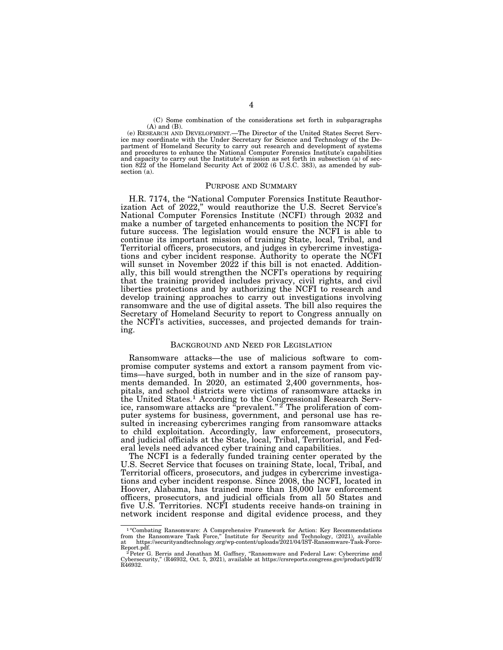(C) Some combination of the considerations set forth in subparagraphs (A) and (B).

(e) RESEARCH AND DEVELOPMENT.—The Director of the United States Secret Service may coordinate with the Under Secretary for Science and Technology of the Department of Homeland Security to carry out research and development of systems and procedures to enhance the National Computer Forensics Institute's capabilities and capacity to carry out the Institute's mission as set forth in subsection (a) of section 822 of the Homeland Security Act of 2002 (6 U.S.C. 383), as amended by subsection (a).

#### PURPOSE AND SUMMARY

H.R. 7174, the ''National Computer Forensics Institute Reauthorization Act of 2022,'' would reauthorize the U.S. Secret Service's National Computer Forensics Institute (NCFI) through 2032 and make a number of targeted enhancements to position the NCFI for future success. The legislation would ensure the NCFI is able to continue its important mission of training State, local, Tribal, and Territorial officers, prosecutors, and judges in cybercrime investigations and cyber incident response. Authority to operate the NCFI will sunset in November 2022 if this bill is not enacted. Additionally, this bill would strengthen the NCFI's operations by requiring that the training provided includes privacy, civil rights, and civil liberties protections and by authorizing the NCFI to research and develop training approaches to carry out investigations involving ransomware and the use of digital assets. The bill also requires the Secretary of Homeland Security to report to Congress annually on the NCFI's activities, successes, and projected demands for training.

#### BACKGROUND AND NEED FOR LEGISLATION

Ransomware attacks—the use of malicious software to compromise computer systems and extort a ransom payment from victims—have surged, both in number and in the size of ransom payments demanded. In 2020, an estimated 2,400 governments, hospitals, and school districts were victims of ransomware attacks in the United States.1 According to the Congressional Research Service, ransomware attacks are "prevalent."<sup>2</sup> The proliferation of computer systems for business, government, and personal use has resulted in increasing cybercrimes ranging from ransomware attacks to child exploitation. Accordingly, law enforcement, prosecutors, and judicial officials at the State, local, Tribal, Territorial, and Federal levels need advanced cyber training and capabilities.

The NCFI is a federally funded training center operated by the U.S. Secret Service that focuses on training State, local, Tribal, and Territorial officers, prosecutors, and judges in cybercrime investigations and cyber incident response. Since 2008, the NCFI, located in Hoover, Alabama, has trained more than 18,000 law enforcement officers, prosecutors, and judicial officials from all 50 States and five U.S. Territories. NCFI students receive hands-on training in network incident response and digital evidence process, and they

<sup>&</sup>lt;sup>1</sup>"Combating Ransomware: A Comprehensive Framework for Action: Key Recommendations from the Ransomware Task Force," Institute for Security and Technology,  $(2021)$ , available at https://securityandtechnology.org/wp-conte

Report.pdf.<br>2 Peter G. Berris and Jonathan M. Gaffney, "Ransomware and Federal Law: Cybercrime and<br>Cybersecurity," (R46932, Oct. 5, 2021), available at https://crsreports.congress.gov/product/pdf/R/ R46932.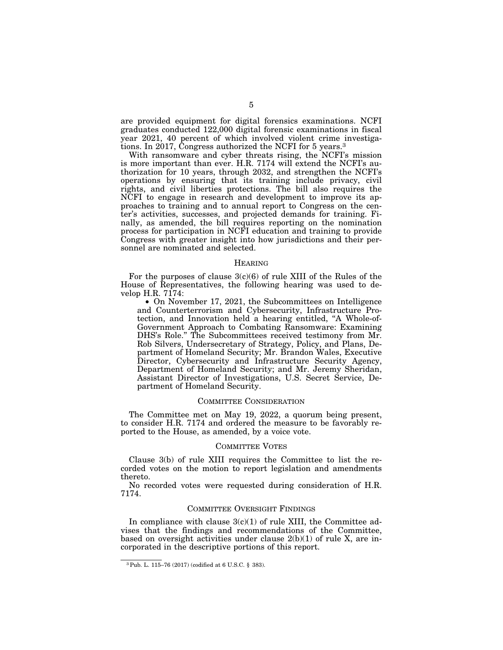are provided equipment for digital forensics examinations. NCFI graduates conducted 122,000 digital forensic examinations in fiscal year 2021, 40 percent of which involved violent crime investigations. In 2017, Congress authorized the NCFI for 5 years.3

With ransomware and cyber threats rising, the NCFI's mission is more important than ever. H.R. 7174 will extend the NCFI's authorization for 10 years, through 2032, and strengthen the NCFI's operations by ensuring that its training include privacy, civil rights, and civil liberties protections. The bill also requires the NCFI to engage in research and development to improve its approaches to training and to annual report to Congress on the center's activities, successes, and projected demands for training. Finally, as amended, the bill requires reporting on the nomination process for participation in NCFI education and training to provide Congress with greater insight into how jurisdictions and their personnel are nominated and selected.

#### HEARING

For the purposes of clause  $3(c)(6)$  of rule XIII of the Rules of the House of Representatives, the following hearing was used to develop H.R. 7174:

• On November 17, 2021, the Subcommittees on Intelligence and Counterterrorism and Cybersecurity, Infrastructure Protection, and Innovation held a hearing entitled, ''A Whole-of-Government Approach to Combating Ransomware: Examining DHS's Role.'' The Subcommittees received testimony from Mr. Rob Silvers, Undersecretary of Strategy, Policy, and Plans, Department of Homeland Security; Mr. Brandon Wales, Executive Director, Cybersecurity and Infrastructure Security Agency, Department of Homeland Security; and Mr. Jeremy Sheridan, Assistant Director of Investigations, U.S. Secret Service, Department of Homeland Security.

#### COMMITTEE CONSIDERATION

The Committee met on May 19, 2022, a quorum being present, to consider H.R. 7174 and ordered the measure to be favorably reported to the House, as amended, by a voice vote.

#### COMMITTEE VOTES

Clause 3(b) of rule XIII requires the Committee to list the recorded votes on the motion to report legislation and amendments thereto.

No recorded votes were requested during consideration of H.R. 7174.

#### COMMITTEE OVERSIGHT FINDINGS

In compliance with clause  $3(c)(1)$  of rule XIII, the Committee advises that the findings and recommendations of the Committee, based on oversight activities under clause  $2(b)(1)$  of rule X, are incorporated in the descriptive portions of this report.

<sup>3</sup>Pub. L. 115–76 (2017) (codified at 6 U.S.C. § 383).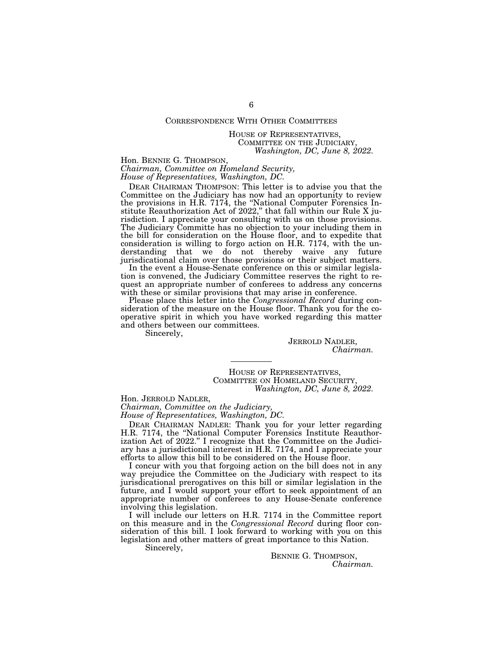### CORRESPONDENCE WITH OTHER COMMITTEES

#### HOUSE OF REPRESENTATIVES, COMMITTEE ON THE JUDICIARY, *Washington, DC, June 8, 2022.*

Hon. BENNIE G. THOMPSON,

*Chairman, Committee on Homeland Security, House of Representatives, Washington, DC.* 

DEAR CHAIRMAN THOMPSON: This letter is to advise you that the Committee on the Judiciary has now had an opportunity to review the provisions in H.R. 7174, the ''National Computer Forensics Institute Reauthorization Act of 2022,'' that fall within our Rule X jurisdiction. I appreciate your consulting with us on those provisions. The Judiciary Committe has no objection to your including them in the bill for consideration on the House floor, and to expedite that consideration is willing to forgo action on H.R. 7174, with the understanding that we do not thereby waive any future jurisdicational claim over those provisions or their subject matters.

In the event a House-Senate conference on this or similar legislation is convened, the Judiciary Committee reserves the right to request an appropriate number of conferees to address any concerns with these or similar provisions that may arise in conference.

Please place this letter into the *Congressional Record* during consideration of the measure on the House floor. Thank you for the cooperative spirit in which you have worked regarding this matter and others between our committees.

Sincerely,

JERROLD NADLER, *Chairman.* 

HOUSE OF REPRESENTATIVES, COMMITTEE ON HOMELAND SECURITY, *Washington, DC, June 8, 2022.* 

Hon. JERROLD NADLER, *Chairman, Committee on the Judiciary, House of Representatives, Washington, DC.* 

DEAR CHAIRMAN NADLER: Thank you for your letter regarding H.R. 7174, the ''National Computer Forensics Institute Reauthorization Act of 2022.'' I recognize that the Committee on the Judiciary has a jurisdictional interest in H.R. 7174, and I appreciate your efforts to allow this bill to be considered on the House floor.

I concur with you that forgoing action on the bill does not in any way prejudice the Committee on the Judiciary with respect to its jurisdicational prerogatives on this bill or similar legislation in the future, and I would support your effort to seek appointment of an appropriate number of conferees to any House-Senate conference involving this legislation.

I will include our letters on H.R. 7174 in the Committee report on this measure and in the *Congressional Record* during floor consideration of this bill. I look forward to working with you on this legislation and other matters of great importance to this Nation.

Sincerely,

BENNIE G. THOMPSON, *Chairman.*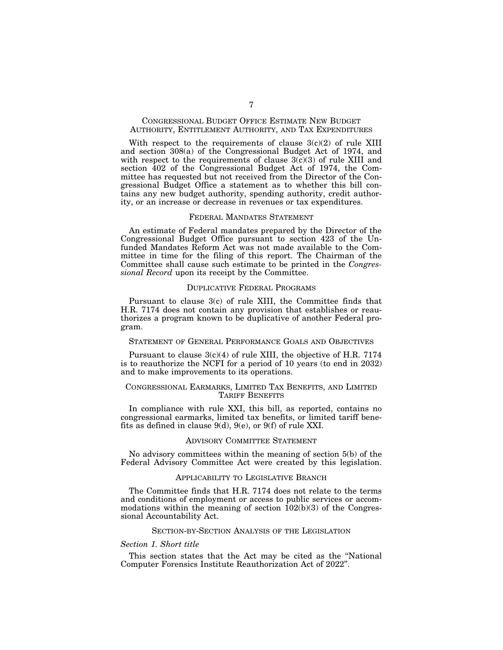#### CONGRESSIONAL BUDGET OFFICE ESTIMATE NEW BUDGET AUTHORITY, ENTITLEMENT AUTHORITY, AND TAX EXPENDITURES

With respect to the requirements of clause  $3(c)(2)$  of rule XIII and section 308(a) of the Congressional Budget Act of 1974, and with respect to the requirements of clause  $3(c)(3)$  of rule XIII and section 402 of the Congressional Budget Act of 1974, the Committee has requested but not received from the Director of the Congressional Budget Office a statement as to whether this bill contains any new budget authority, spending authority, credit authority, or an increase or decrease in revenues or tax expenditures.

#### FEDERAL MANDATES STATEMENT

An estimate of Federal mandates prepared by the Director of the Congressional Budget Office pursuant to section 423 of the Unfunded Mandates Reform Act was not made available to the Committee in time for the filing of this report. The Chairman of the Committee shall cause such estimate to be printed in the *Congressional Record* upon its receipt by the Committee.

#### DUPLICATIVE FEDERAL PROGRAMS

Pursuant to clause 3(c) of rule XIII, the Committee finds that H.R. 7174 does not contain any provision that establishes or reauthorizes a program known to be duplicative of another Federal program.

#### STATEMENT OF GENERAL PERFORMANCE GOALS AND OBJECTIVES

Pursuant to clause  $3(c)(4)$  of rule XIII, the objective of H.R. 7174 is to reauthorize the NCFI for a period of 10 years (to end in 2032) and to make improvements to its operations.

#### CONGRESSIONAL EARMARKS, LIMITED TAX BENEFITS, AND LIMITED TARIFF BENEFITS

In compliance with rule XXI, this bill, as reported, contains no congressional earmarks, limited tax benefits, or limited tariff benefits as defined in clause 9(d), 9(e), or 9(f) of rule XXI.

#### ADVISORY COMMITTEE STATEMENT

No advisory committees within the meaning of section 5(b) of the Federal Advisory Committee Act were created by this legislation.

#### APPLICABILITY TO LEGISLATIVE BRANCH

The Committee finds that H.R. 7174 does not relate to the terms and conditions of employment or access to public services or accommodations within the meaning of section  $102(b)(3)$  of the Congressional Accountability Act.

#### SECTION-BY-SECTION ANALYSIS OF THE LEGISLATION

#### *Section 1. Short title*

This section states that the Act may be cited as the ''National Computer Forensics Institute Reauthorization Act of 2022''.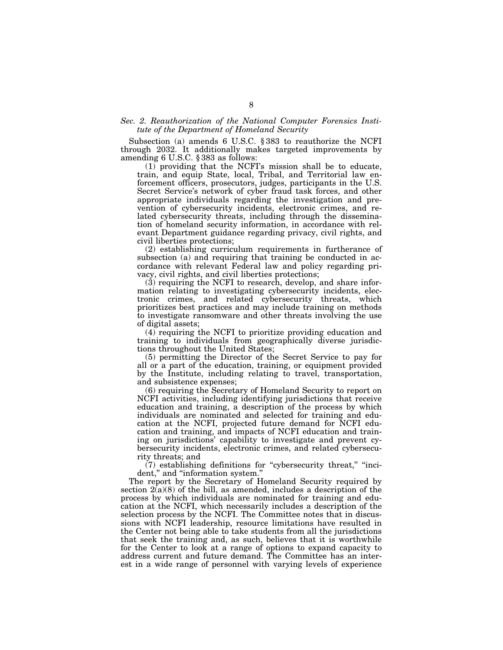#### *Sec. 2. Reauthorization of the National Computer Forensics Institute of the Department of Homeland Security*

Subsection (a) amends 6 U.S.C. § 383 to reauthorize the NCFI through 2032. It additionally makes targeted improvements by amending 6 U.S.C. § 383 as follows:

(1) providing that the NCFI's mission shall be to educate, train, and equip State, local, Tribal, and Territorial law enforcement officers, prosecutors, judges, participants in the U.S. Secret Service's network of cyber fraud task forces, and other appropriate individuals regarding the investigation and prevention of cybersecurity incidents, electronic crimes, and related cybersecurity threats, including through the dissemination of homeland security information, in accordance with relevant Department guidance regarding privacy, civil rights, and civil liberties protections;

(2) establishing curriculum requirements in furtherance of subsection (a) and requiring that training be conducted in accordance with relevant Federal law and policy regarding privacy, civil rights, and civil liberties protections;

(3) requiring the NCFI to research, develop, and share information relating to investigating cybersecurity incidents, electronic crimes, and related cybersecurity threats, which prioritizes best practices and may include training on methods to investigate ransomware and other threats involving the use of digital assets;

(4) requiring the NCFI to prioritize providing education and training to individuals from geographically diverse jurisdictions throughout the United States;

(5) permitting the Director of the Secret Service to pay for all or a part of the education, training, or equipment provided by the Institute, including relating to travel, transportation, and subsistence expenses;

(6) requiring the Secretary of Homeland Security to report on NCFI activities, including identifying jurisdictions that receive education and training, a description of the process by which individuals are nominated and selected for training and education at the NCFI, projected future demand for NCFI education and training, and impacts of NCFI education and training on jurisdictions' capability to investigate and prevent cybersecurity incidents, electronic crimes, and related cybersecurity threats; and

 $(7)$  establishing definitions for "cybersecurity threat," "incident," and "information system."

The report by the Secretary of Homeland Security required by section  $2(a)(8)$  of the bill, as amended, includes a description of the process by which individuals are nominated for training and education at the NCFI, which necessarily includes a description of the selection process by the NCFI. The Committee notes that in discussions with NCFI leadership, resource limitations have resulted in the Center not being able to take students from all the jurisdictions that seek the training and, as such, believes that it is worthwhile for the Center to look at a range of options to expand capacity to address current and future demand. The Committee has an interest in a wide range of personnel with varying levels of experience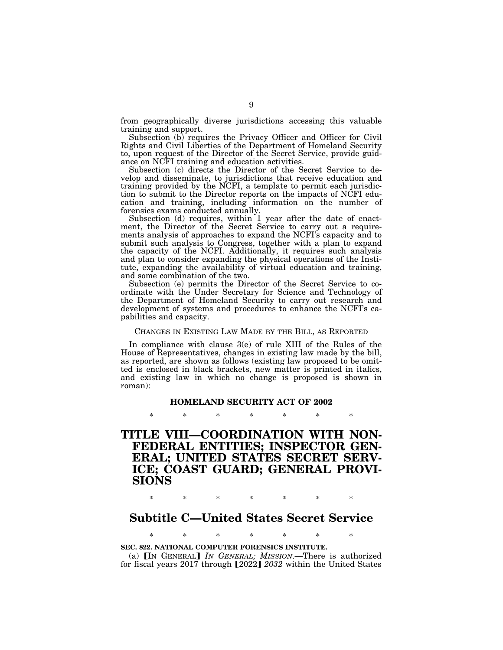from geographically diverse jurisdictions accessing this valuable training and support.

Subsection (b) requires the Privacy Officer and Officer for Civil Rights and Civil Liberties of the Department of Homeland Security to, upon request of the Director of the Secret Service, provide guidance on NCFI training and education activities.

Subsection (c) directs the Director of the Secret Service to develop and disseminate, to jurisdictions that receive education and training provided by the NCFI, a template to permit each jurisdiction to submit to the Director reports on the impacts of NCFI education and training, including information on the number of forensics exams conducted annually.

Subsection (d) requires, within 1 year after the date of enactment, the Director of the Secret Service to carry out a requirements analysis of approaches to expand the NCFI's capacity and to submit such analysis to Congress, together with a plan to expand the capacity of the NCFI. Additionally, it requires such analysis and plan to consider expanding the physical operations of the Institute, expanding the availability of virtual education and training, and some combination of the two.

Subsection (e) permits the Director of the Secret Service to coordinate with the Under Secretary for Science and Technology of the Department of Homeland Security to carry out research and development of systems and procedures to enhance the NCFI's capabilities and capacity.

#### CHANGES IN EXISTING LAW MADE BY THE BILL, AS REPORTED

In compliance with clause 3(e) of rule XIII of the Rules of the House of Representatives, changes in existing law made by the bill, as reported, are shown as follows (existing law proposed to be omitted is enclosed in black brackets, new matter is printed in italics, and existing law in which no change is proposed is shown in roman):

# **HOMELAND SECURITY ACT OF 2002**  \* \* \* \* \* \* \*

**TITLE VIII—COORDINATION WITH NON-FEDERAL ENTITIES; INSPECTOR GEN-ERAL; UNITED STATES SECRET SERV-ICE; COAST GUARD; GENERAL PROVI-SIONS** 

\* \* \* \* \* \* \*

# **Subtitle C—United States Secret Service**

\* \* \* \* \* \* \*

#### **SEC. 822. NATIONAL COMPUTER FORENSICS INSTITUTE.**

(a) **IN GENERAL** *IN GENERAL; MISSION*.—There is authorized for fiscal years 2017 through [2022] 2032 within the United States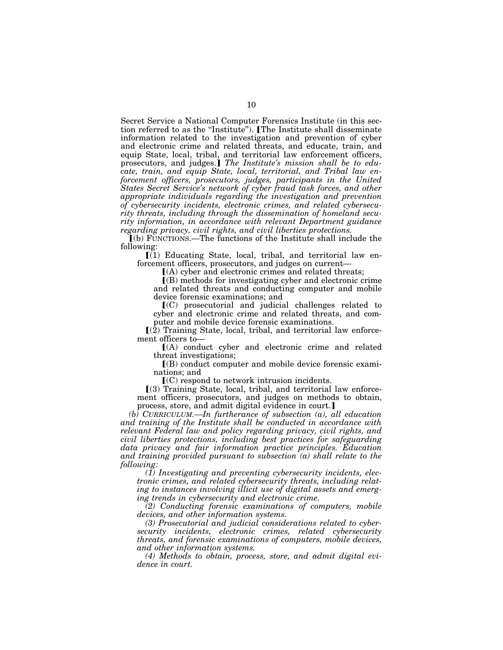Secret Service a National Computer Forensics Institute (in this section referred to as the "Institute"). [The Institute shall disseminate information related to the investigation and prevention of cyber and electronic crime and related threats, and educate, train, and equip State, local, tribal, and territorial law enforcement officers, prosecutors, and judges.] The Institute's mission shall be to edu*cate, train, and equip State, local, territorial, and Tribal law en*forcement officers, prosecutors, judges, participants in the United *States Secret Service's network of cyber fraud task forces, and other appropriate individuals regarding the investigation and prevention of cybersecurity incidents, electronic crimes, and related cybersecurity threats, including through the dissemination of homeland security information, in accordance with relevant Department guidance regarding privacy, civil rights, and civil liberties protections.* 

ø(b) FUNCTIONS.—The functions of the Institute shall include the following:

 $[(1)$  Educating State, local, tribal, and territorial law enforcement officers, prosecutors, and judges on current—

 $(A)$  cyber and electronic crimes and related threats;

ø(B) methods for investigating cyber and electronic crime and related threats and conducting computer and mobile device forensic examinations; and

 $(C)$  prosecutorial and judicial challenges related to cyber and electronic crime and related threats, and computer and mobile device forensic examinations.

 $\mathbb{I}(\overline{2})$  Training State, local, tribal, and territorial law enforcement officers to—

 $[(A)$  conduct cyber and electronic crime and related threat investigations;

 $I(B)$  conduct computer and mobile device forensic examinations; and

 $\mathbf{C}(\mathbf{C})$  respond to network intrusion incidents.

 $(3)$  Training State, local, tribal, and territorial law enforcement officers, prosecutors, and judges on methods to obtain, process, store, and admit digital evidence in court.]

*(b) CURRICULUM.—In furtherance of subsection (a), all education and training of the Institute shall be conducted in accordance with relevant Federal law and policy regarding privacy, civil rights, and civil liberties protections, including best practices for safeguarding data privacy and fair information practice principles. Education and training provided pursuant to subsection (a) shall relate to the following:* 

*(1) Investigating and preventing cybersecurity incidents, electronic crimes, and related cybersecurity threats, including relating to instances involving illicit use of digital assets and emerging trends in cybersecurity and electronic crime.* 

*(2) Conducting forensic examinations of computers, mobile devices, and other information systems.* 

*(3) Prosecutorial and judicial considerations related to cybersecurity incidents, electronic crimes, related cybersecurity threats, and forensic examinations of computers, mobile devices, and other information systems.* 

*(4) Methods to obtain, process, store, and admit digital evidence in court.*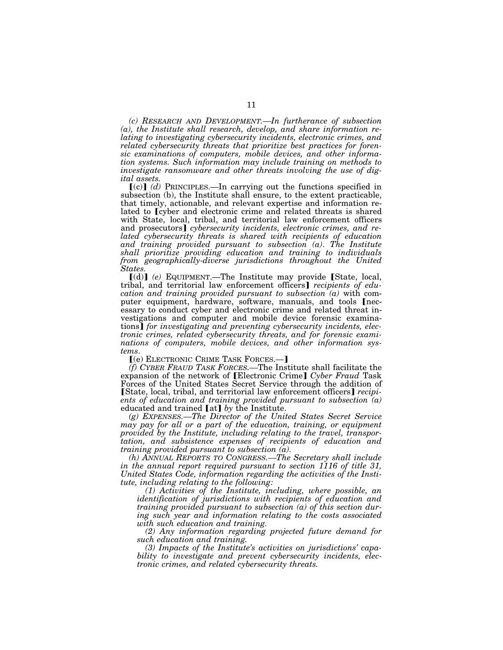*(c) RESEARCH AND DEVELOPMENT.—In furtherance of subsection (a), the Institute shall research, develop, and share information relating to investigating cybersecurity incidents, electronic crimes, and related cybersecurity threats that prioritize best practices for forensic examinations of computers, mobile devices, and other information systems. Such information may include training on methods to investigate ransomware and other threats involving the use of digital assets.* 

 $(c)$  *(d)* PRINCIPLES.—In carrying out the functions specified in subsection (b), the Institute shall ensure, to the extent practicable, that timely, actionable, and relevant expertise and information related to [cyber and electronic crime and related threats is shared with State, local, tribal, and territorial law enforcement officers and prosecutors] *cybersecurity incidents, electronic crimes, and related cybersecurity threats is shared with recipients of education and training provided pursuant to subsection (a)*. *The Institute shall prioritize providing education and training to individuals from geographically-diverse jurisdictions throughout the United States.* 

[(d)] (e) EQUIPMENT.—The Institute may provide [State, local, tribal, and territorial law enforcement officers] *recipients of education and training provided pursuant to subsection (a)* with computer equipment, hardware, software, manuals, and tools [necessary to conduct cyber and electronic crime and related threat investigations and computer and mobile device forensic examinations] for investigating and preventing cybersecurity incidents, elec*tronic crimes, related cybersecurity threats, and for forensic examinations of computers, mobile devices, and other information systems*.

ø(e) ELECTRONIC CRIME TASK FORCES.—¿

*(f) CYBER FRAUD TASK FORCES.—*The Institute shall facilitate the expansion of the network of [Electronic Crime] *Cyber Fraud* Task Forces of the United States Secret Service through the addition of [State, local, tribal, and territorial law enforcement officers] *recipients of education and training provided pursuant to subsection (a)*  educated and trained [at] by the Institute.

*(g) EXPENSES.—The Director of the United States Secret Service may pay for all or a part of the education, training, or equipment provided by the Institute, including relating to the travel, transportation, and subsistence expenses of recipients of education and training provided pursuant to subsection (a).* 

*(h) ANNUAL REPORTS TO CONGRESS.—The Secretary shall include in the annual report required pursuant to section 1116 of title 31, United States Code, information regarding the activities of the Institute, including relating to the following:* 

*(1) Activities of the Institute, including, where possible, an identification of jurisdictions with recipients of education and training provided pursuant to subsection (a) of this section during such year and information relating to the costs associated with such education and training.* 

*(2) Any information regarding projected future demand for such education and training.* 

*(3) Impacts of the Institute's activities on jurisdictions' capability to investigate and prevent cybersecurity incidents, electronic crimes, and related cybersecurity threats.*